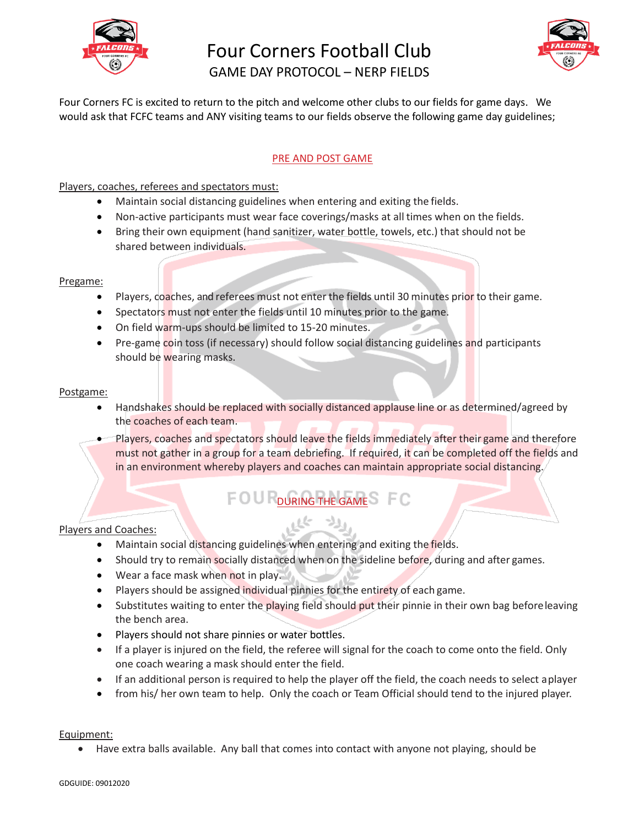

# Four Corners Football Club



GAME DAY PROTOCOL – NERP FIELDS

Four Corners FC is excited to return to the pitch and welcome other clubs to our fields for game days. We would ask that FCFC teams and ANY visiting teams to our fields observe the following game day guidelines;

#### PRE AND POST GAME

Players, coaches, referees and spectators must:

- Maintain social distancing guidelines when entering and exiting the fields.
- Non-active participants must wear face coverings/masks at all times when on the fields.
- Bring their own equipment (hand sanitizer, water bottle, towels, etc.) that should not be shared between individuals.

#### Pregame:

- Players, coaches, and referees must not enter the fields until 30 minutes prior to their game.
- Spectators must not enter the fields until 10 minutes prior to the game.
- On field warm-ups should be limited to 15-20 minutes.
- Pre-game coin toss (if necessary) should follow social distancing guidelines and participants should be wearing masks.

#### Postgame:

- Handshakes should be replaced with socially distanced applause line or as determined/agreed by the coaches of each team.
- Players, coaches and spectators should leave the fields immediately after their game and therefore must not gather in a group for a team debriefing. If required, it can be completed off the fields and in an environment whereby players and coaches can maintain appropriate social distancing.

### FOU DURING THE GAME<sup>S</sup> FC

#### Players and Coaches:

- Maintain social distancing guidelines when entering and exiting the fields.
- Should try to remain socially distanced when on the sideline before, during and after games.
- Wear a face mask when not in play.
- Players should be assigned individual pinnies for the entirety of each game.
- Substitutes waiting to enter the playing field should put their pinnie in their own bag before leaving the bench area.
- Players should not share pinnies or water bottles.
- If a player is injured on the field, the referee will signal for the coach to come onto the field. Only one coach wearing a mask should enter the field.
- If an additional person is required to help the player off the field, the coach needs to select aplayer
- from his/ her own team to help. Only the coach or Team Official should tend to the injured player.

#### Equipment:

• Have extra balls available. Any ball that comes into contact with anyone not playing, should be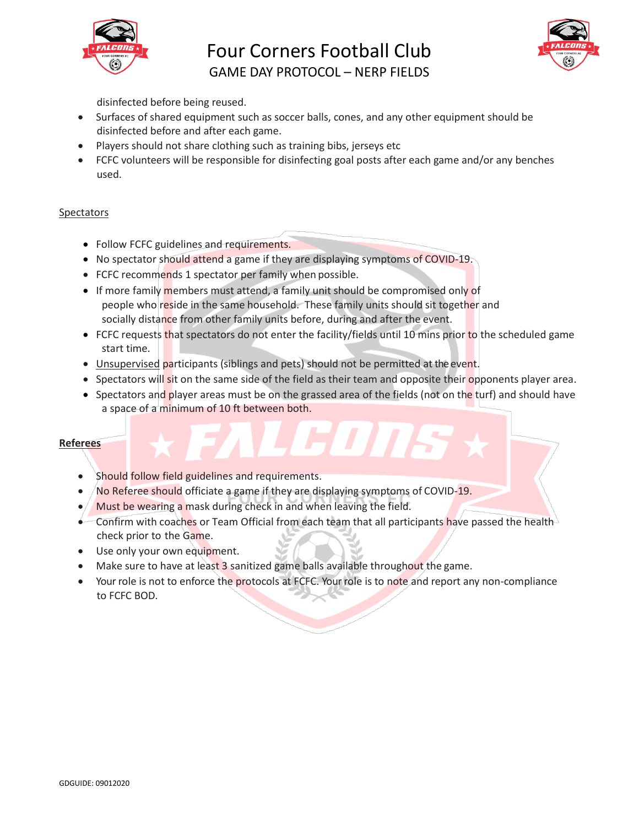

## Four Corners Football Club



GAME DAY PROTOCOL – NERP FIELDS

disinfected before being reused.

- Surfaces of shared equipment such as soccer balls, cones, and any other equipment should be disinfected before and after each game.
- Players should not share clothing such as training bibs, jerseys etc
- FCFC volunteers will be responsible for disinfecting goal posts after each game and/or any benches used.

#### Spectators

- Follow FCFC guidelines and requirements.
- No spectator should attend a game if they are displaying symptoms of COVID-19.
- FCFC recommends 1 spectator per family when possible.
- If more family members must attend, a family unit should be compromised only of people who reside in the same household. These family units should sit together and socially distance from other family units before, during and after the event.
- FCFC requests that spectators do not enter the facility/fields until 10 mins prior to the scheduled game start time.
- Unsupervised participants (siblings and pets) should not be permitted at the event.
- Spectators will sit on the same side of the field as their team and opposite their opponents player area.
- Spectators and player areas must be on the grassed area of the fields (not on the turf) and should have a space of a minimum of 10 ft between both.

#### **Referees**

- Should follow field guidelines and requirements.
- No Referee should officiate a game if they are displaying symptoms of COVID-19.
- Must be wearing a mask during check in and when leaving the field.
- Confirm with coaches or Team Official from each team that all participants have passed the health check prior to the Game.
- Use only your own equipment.
- Make sure to have at least 3 sanitized game balls available throughout the game.
- Your role is not to enforce the protocols at FCFC. Your role is to note and report any non-compliance to FCFC BOD.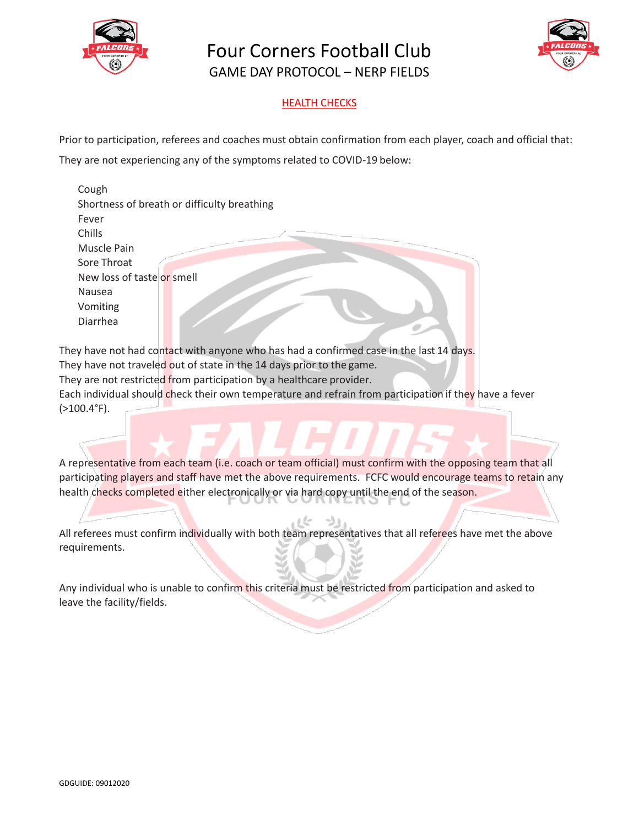

Four Corners Football Club GAME DAY PROTOCOL – NERP FIELDS



#### HEALTH CHECKS

Prior to participation, referees and coaches must obtain confirmation from each player, coach and official that:

They are not experiencing any of the symptoms related to COVID-19 below:

| Cough                                       |  |
|---------------------------------------------|--|
| Shortness of breath or difficulty breathing |  |
| Fever                                       |  |
| Chills                                      |  |
| Muscle Pain                                 |  |
| Sore Throat                                 |  |
| New loss of taste or smell                  |  |
| Nausea                                      |  |
| Vomiting                                    |  |
| Diarrhea                                    |  |
|                                             |  |

They have not had contact with anyone who has had a confirmed case in the last 14 days. They have not traveled out of state in the 14 days prior to the game. They are not restricted from participation by a healthcare provider. Each individual should check their own temperature and refrain from participation if they have a fever (>100.4°F).

A representative from each team (i.e. coach or team official) must confirm with the opposing team that all participating players and staff have met the above requirements. FCFC would encourage teams to retain any health checks completed either electronically or via hard copy until the end of the season.

All referees must confirm individually with both team representatives that all referees have met the above requirements.

Any individual who is unable to confirm this criteria must be restricted from participation and asked to leave the facility/fields.